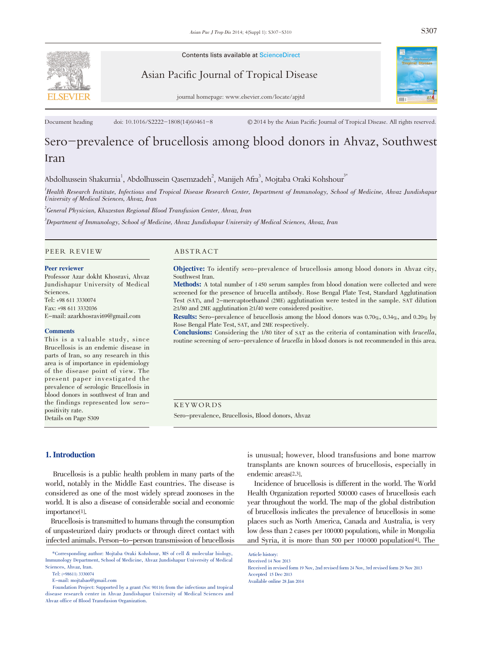

Contents lists available at ScienceDirect

Asian Pacific Journal of Tropical Disease



journal homepage: www.elsevier.com/locate/apjtd

Document heading doi: 10.1016/S2222-1808(14)60461-8 © 2014 by the Asian Pacific Journal of Tropical Disease. All rights reserved.

# Sero-prevalence of brucellosis among blood donors in Ahvaz, Southwest Iran

Abdolhussein Shakurnia $^1$ , Abdolhussein Qasemzadeh $^2$ , Manijeh Afra $^3$ , Mojtaba Oraki Kohshour $^3$ 

1 Health Research Institute, Infectious and Tropical Disease Research Center, Department of Immunology, School of Medicine, Ahvaz Jundishapur University of Medical Sciences, Ahvaz, Iran

 $^2$ General Physician, Khuzestan Regional Blood Transfusion Center, Ahvaz, Iran

3 Department of Immunology, School of Medicine, Ahvaz Jundishapur University of Medical Sciences, Ahvaz, Iran

#### PEER REVIEW ABSTRACT

#### Peer reviewer

Professor Azar dokht Khosravi, Ahvaz Jundishapur University of Medical Sciences. Tel: +98 611 3330074

Fax: +98 611 3332036 E-mail: azarkhosravi69@gmail.com

#### **Comments**

This is a valuable study, since Brucellosis is an endemic disease in parts of Iran, so any research in this area is of importance in epidemiology of the disease point of view. The present paper investigated the prevalence of serologic Brucellosis in blood donors in southwest of Iran and the findings represented low seropositivity rate.

Details on Page S309

Objective: To identify sero-prevalence of brucellosis among blood donors in Ahvaz city, Southwest Iran.

Methods: A total number of <sup>1</sup> <sup>450</sup> serum samples from blood donation were collected and were screened for the presence of brucella antibody. Rose Bengal Plate Test, Standard Agglutination Test (SAT), and 2-mercaptoethanol (2ME) agglutination were tested in the sample. SAT dilution ≥1/80 and 2ME agglutination ≥1/40 were considered positive.

Results: Sero-prevalence of brucellosis among the blood donors was 0.70%, 0.34%, and 0.20% by Rose Bengal Plate Test, SAT, and 2ME respectively.

Conclusions: Considering the 1/80 titer of SAT as the criteria of contamination with *brucella*, routine screening of sero-prevalence of *brucella* in blood donors is not recommended in this area.

KEYWORDS

Sero-prevalence, Brucellosis, Blood donors, Ahvaz

#### 1. Introduction

Brucellosis is a public health problem in many parts of the world, notably in the Middle East countries. The disease is considered as one of the most widely spread zoonoses in the world. It is also a disease of considerable social and economic importance[1].

Brucellosis is transmitted to humans through the consumption of unpasteurized dairy products or through direct contact with infected animals. Person-to-person transmission of brucellosis

\*Corresponding author: Mojtaba Oraki Kohshour, MS of cell & molecular biology, Immunology Department, School of Medicine, Ahvaz Jundishapur University of Medical Sciences, Ahvaz, Iran.

is unusual; however, blood transfusions and bone marrow transplants are known sources of brucellosis, especially in endemic areas[2,3].

Incidence of brucellosis is different in the world. The World Health Organization reported 500000 cases of brucellosis each year throughout the world. The map of the global distribution of brucellosis indicates the prevalence of brucellosis in some places such as North America, Canada and Australia, is very low (less than 2 cases per 100000 population), while in Mongolia and Syria, it is more than 500 per 100 000 population[4]. The

Article history: Received 14 Nov 2013

Tel: (+98611) 3330074

E-mail: mojtabao@gmail.com

Foundation Project: Supported by a grant (No: 90116) from the infectious and tropical disease research center in Ahvaz Jundishapur University of Medical Sciences and Ahvaz office of Blood Transfusion Organization.

Received in revised form 19 Nov, 2nd revised form 24 Nov, 3rd revised form 29 Nov 2013 Accepted 15 Dec 2013 Available online 28 Jan 2014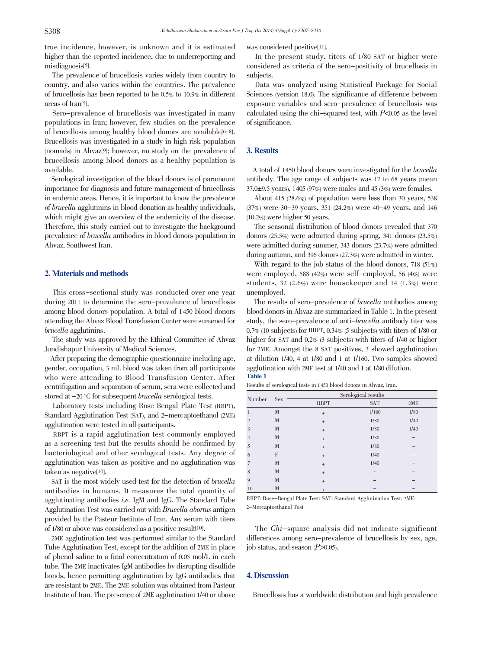true incidence, however, is unknown and it is estimated higher than the reported incidence, due to underreporting and misdiagnosis<sup>[5]</sup>.

The prevalence of brucellosis varies widely from country to country, and also varies within the countries. The prevalence of brucellosis has been reported to be 0.5% to 10.9% in different areas of Iran[5].

Sero-prevalence of brucellosis was investigated in many populations in Iran; however, few studies on the prevalence of brucellosis among healthy blood donors are available[6-8]. Brucellosis was investigated in a study in high risk population (nomads) in Ahvaz[9]; however, no study on the prevalence of brucellosis among blood donors as a healthy population is available.

Serological investigation of the blood donors is of paramount importance for diagnosis and future management of brucellosis in endemic areas. Hence, it isimportant to know the prevalence of brucella agglutinins in blood donation as healthy individuals, which might give an overview of the endemicity of the disease. Therefore, this study carried out to investigate the background prevalence of brucella antibodies in blood donors population in Ahvaz, Southwest Iran.

# 2. Materials and methods

This cross-sectional study was conducted over one year during 2011 to determine the sero-prevalence of brucellosis among blood donors population. A total of 1450 blood donors attending the Ahvaz Blood Transfusion Center were screened for brucella agglutinins.

The study was approved by the Ethical Committee of Ahvaz Jundishapur University of Medical Sciences.

After preparing the demographic questionnaire including age, gender, occupation, 3 mL blood was taken from all participants who were attending to Blood Transfusion Center. After centrifugation and separation of serum, sera were collected and stored at  $-20$  °C for subsequent *brucella* serological tests.

Laboratory tests including Rose Bengal Plate Test (RBPT), Standard Agglutination Test (SAT), and 2-mercaptoethanol (2ME) agglutination were tested in all participants.

RBPT is a rapid agglutination test commonly employed as a screening test but the results should be confirmed by bacteriological and other serological tests. Any degree of agglutination was taken as positive and no agglutination was taken as negative[10].

SAT is the most widely used test for the detection of brucella antibodies in humans. It measures the total quantity of agglutinating antibodies i.e. IgM and IgG. The Standard Tube Agglutination Test was carried out with Brucella abortus antigen provided by the Pasteur Institute of Iran. Any serum with titers of 1/80 or above was considered as a positive result[10].

2ME agglutination test was performed similar to the Standard Tube Agglutination Test, except for the addition of 2ME in place of phenol saline to a final concentration of 0.05 mol/L in each tube. The 2ME inactivates IgM antibodies by disrupting disulfide bonds, hence permitting agglutination by IgG antibodies that are resistant to 2ME. The 2ME solution was obtained from Pasteur Institute of Iran. The presence of 2ME agglutination 1/40 or above was considered positive<sup>[11]</sup>.

In the present study, titers of 1/80 SAT or higher were considered as criteria of the sero-positivity of brucellosis in subjects.

Data was analyzed using Statistical Package for Social Sciences (version 18.0). The significance of difference between exposure variables and sero-prevalence of brucellosis was calculated using the chi-squared test, with  $P<0.05$  as the level of significance.

### 3. Results

A total of <sup>1450</sup> blood donors were investigated for the brucella antibody. The age range of subjects was 17 to 68 years (mean 37.0 $\pm$ 9.5 years), 1405 (97%) were males and 45 (3%) were females.

About 415 (28.6%) of population were less than 30 years, 538 (37%) were 30-39 years, 351 (24.2%) were 40-49 years, and 146 (10.2%) were higher 50 years.

The seasonal distribution of blood donors revealed that 370 donors (25.5%) were admitted during spring, 341 donors (23.5%) were admitted during summer, 343 donors (23.7%) were admitted during autumn, and 396 donors (27.3%) were admitted in winter.

With regard to the job status of the blood donors, 718 (51%) were employed, 588 (42%) were self-employed, 56 (4%) were students, 32 (2.6%) were housekeeper and 14 (1.3%) were unemployed.

The results of sero-prevalence of brucella antibodies among blood donorsin Ahvaz are summarized in Table 1. In the present study, the sero-prevalence of anti-brucella antibody titer was 0.7% (10 subjects) for RBPT, 0.34% (5 subjects) with titers of 1/80 or higher for SAT and 0.2% (3 subjects) with titers of  $1/40$  or higher for 2ME. Amongst the 8 SAT positives, 3 showed agglutination at dilution 1/40, 4 at 1/80 and 1 at 1/160. Two samples showed agglutination with 2ME test at 1/40 and <sup>1</sup> at 1/80 dilution. Table 1

Results of serological tests in 1 450 blood donors in Ahvaz, Iran.

| Number         | <b>Sex</b> | Serological results |            |      |
|----------------|------------|---------------------|------------|------|
|                |            | <b>RBPT</b>         | <b>SAT</b> | 2ME  |
| 1              | M          | $\qquad \qquad +$   | 1/160      | 1/80 |
| $\overline{2}$ | M          | $^{+}$              | 1/80       | 1/40 |
| 3              | M          | $^{+}$              | 1/80       | 1/40 |
| $\overline{4}$ | M          | $^{+}$              | 1/80       | -    |
| 5              | M          | $^{+}$              | 1/80       |      |
| 6              | F          | $^{+}$              | 1/40       |      |
| 7              | M          | $^{+}$              | 1/40       |      |
| 8              | M          | $^{+}$              |            |      |
| $\overline{Q}$ | M          | $^{+}$              |            |      |
| 10             | M          | $^{+}$              |            |      |

RBPT: Rose-Bengal Plate Test; SAT: Standard Agglutination Test; 2ME: 2-Mercaptoethanol Test

The Chi-square analysis did not indicate significant differences among sero-prevalence of brucellosis by sex, age, job status, and season  $(P>0.05)$ .

### 4. Discussion

Brucellosis has a worldwide distribution and high prevalence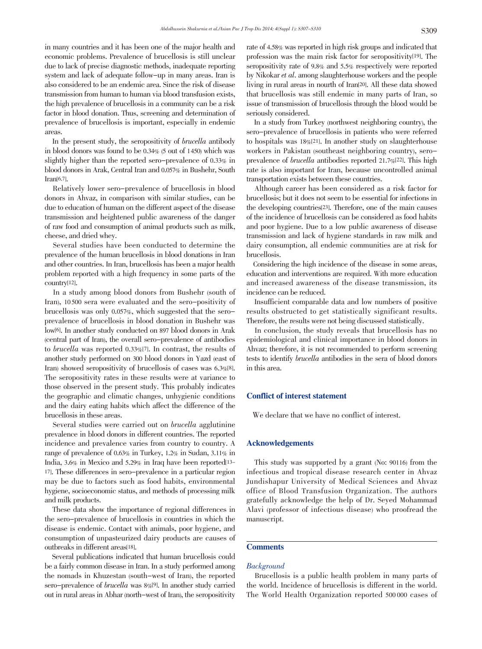in many countries and it has been one of the major health and economic problems. Prevalence of brucellosis is still unclear due to lack of precise diagnostic methods, inadequate reporting system and lack of adequate follow-up in many areas. Iran is also considered to be an endemic area. Since the risk of disease transmission from human to human via blood transfusion exists, the high prevalence of brucellosis in a community can be a risk factor in blood donation. Thus, screening and determination of prevalence of brucellosis is important, especially in endemic areas.

In the present study, the seropositivity of brucella antibody in blood donors was found to be 0.34% (5 out of 1450) which was slightly higher than the reported sero-prevalence of 0.33% in blood donors in Arak, Central Iran and 0.057% in Bushehr, South Iran[6,7].

Relatively lower sero-prevalence of brucellosis in blood donors in Ahvaz, in comparison with similar studies, can be due to education of human on the different aspect of the disease transmission and heightened public awareness of the danger of raw food and consumption of animal products such as milk, cheese, and dried whey.

Several studies have been conducted to determine the prevalence of the human brucellosis in blood donations in Iran and other countries. In Iran, brucellosis has been a major health problem reported with a high frequency in some parts of the country[12].

In a study among blood donors from Bushehr (south of Iran), 10 500 sera were evaluated and the sero-positivity of brucellosis was only 0.057%, which suggested that the seroprevalence of brucellosis in blood donation in Bushehr was low[6]. In another study conducted on 897 blood donors in Arak (central part of Iran), the overall sero-prevalence of antibodies to brucella was reported 0.33%[7]. In contrast, the results of another study performed on 300 blood donors in Yazd (east of Iran) showed seropositivity of brucellosis of cases was 6.3%[8]. The seropositivity rates in these results were at variance to those observed in the present study. This probably indicates the geographic and climatic changes, unhygienic conditions and the dairy eating habits which affect the difference of the brucellosis in these areas.

Several studies were carried out on brucella agglutinine prevalence in blood donors in different countries. The reported incidence and prevalence varies from country to country. A range of prevalence of 0.63% in Turkey, 1.2% in Sudan, 3.11% in India, 3.6% in Mexico and 5.29% in Iraq have been reported[13- 17]. These differences in sero-prevalence in a particular region may be due to factors such as food habits, environmental hygiene, socioeconomic status, and methods of processing milk and milk products.

These data show the importance of regional differences in the sero-prevalence of brucellosis in countries in which the disease is endemic. Contact with animals, poor hygiene, and consumption of unpasteurized dairy products are causes of outbreaks in different areas[18].

Several publications indicated that human brucellosis could be a fairly common disease in Iran. In a study performed among the nomads in Khuzestan (south-west of Iran), the reported sero-prevalence of brucella was 8%[9]. In another study carried out in rural areas in Abhar (north-west of Iran), the seropositivity

rate of 4.58% was reported in high risk groups and indicated that profession was the main risk factor for seropositivity[19]. The seropositivity rate of 9.8% and 5.5% respectively were reported by Nikokar et al. among slaughterhouse workers and the people living in rural areas in nourth of Iran[20]. All these data showed that brucellosis was still endemic in many parts of Iran, so issue of transmission of brucellosis through the blood would be seriously considered.

In a study from Turkey (northwest neighboring country), the sero-prevalence of brucellosis in patients who were referred to hospitals was 18%[21]. In another study on slaughterhouse workers in Pakistan (southeast neighboring country), seroprevalence of brucella antibodies reported 21.7%[22]. This high rate is also important for Iran, because uncontrolled animal transportation exists between these countries.

Although career has been considered as a risk factor for brucellosis; but it does not seem to be essential for infections in the developing countries[23]. Therefore, one of the main causes of the incidence of brucellosis can be considered as food habits and poor hygiene. Due to a low public awareness of disease transmission and lack of hygiene standards in raw milk and dairy consumption, all endemic communities are at risk for brucellosis.

Considering the high incidence of the disease in some areas, education and interventions are required. With more education and increased awareness of the disease transmission, its incidence can be reduced.

Insufficient comparable data and low numbers of positive results obstructed to get statistically significant results. Therefore, the results were not being discussed statistically.

In conclusion, the study reveals that brucellosis has no epidemiological and clinical importance in blood donors in Ahvaz; therefore, it is not recommended to perform screening tests to identify brucella antibodies in the sera of blood donors in this area.

#### Conflict of interest statement

We declare that we have no conflict of interest.

#### Acknowledgements

This study was supported by a grant (No: 90116) from the infectious and tropical disease research center in Ahvaz Jundishapur University of Medical Sciences and Ahvaz office of Blood Transfusion Organization. The authors gratefully acknowledge the help of Dr. Seyed Mohammad Alavi (professor of infectious disease) who proofread the manuscript.

# **Comments**

#### Background

Brucellosis is a public health problem in many parts of the world. Incidence of brucellosis is different in the world. The World Health Organization reported 500 000 cases of